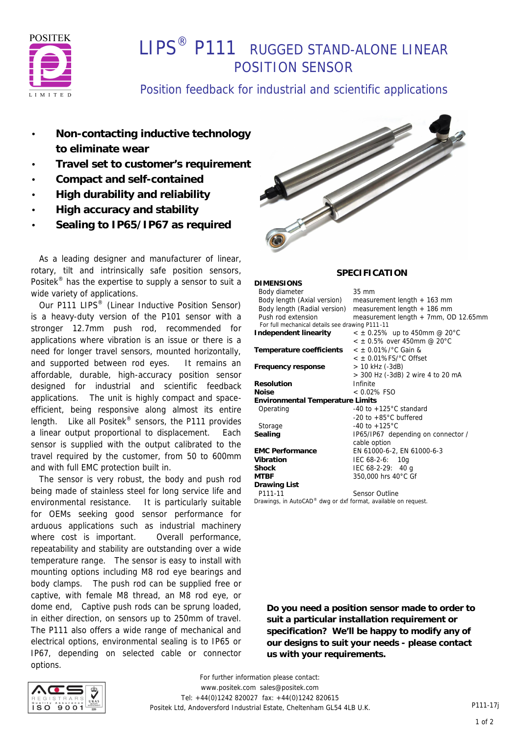

# **I IPS<sup>®</sup> P111** RUGGED STAND-ALONE LINEAR POSITION SENSOR

## Position feedback for industrial and scientific applications

- **Non-contacting inductive technology to eliminate wear**
- **Travel set to customer's requirement**
- **Compact and self-contained**
- **High durability and reliability**
- **High accuracy and stability**
- **Sealing to IP65/IP67 as required**

 As a leading designer and manufacturer of linear, rotary, tilt and intrinsically safe position sensors, Positek® has the expertise to supply a sensor to suit a wide variety of applications.

Our P111 LIPS<sup>®</sup> (Linear Inductive Position Sensor) is a heavy-duty version of the P101 sensor with a stronger 12.7mm push rod, recommended for applications where vibration is an issue or there is a need for longer travel sensors, mounted horizontally, and supported between rod eyes. It remains an affordable, durable, high-accuracy position sensor designed for industrial and scientific feedback applications. The unit is highly compact and spaceefficient, being responsive along almost its entire length. Like all Positek® sensors, the P111 provides a linear output proportional to displacement. Each sensor is supplied with the output calibrated to the travel required by the customer, from 50 to 600mm and with full EMC protection built in.

 The sensor is very robust, the body and push rod being made of stainless steel for long service life and environmental resistance. It is particularly suitable for OEMs seeking good sensor performance for arduous applications such as industrial machinery where cost is important. Overall performance, repeatability and stability are outstanding over a wide temperature range. The sensor is easy to install with mounting options including M8 rod eye bearings and body clamps. The push rod can be supplied free or captive, with female M8 thread, an M8 rod eye, or dome end, Captive push rods can be sprung loaded, in either direction, on sensors up to 250mm of travel. The P111 also offers a wide range of mechanical and electrical options, environmental sealing is to IP65 or IP67, depending on selected cable or connector options.



### **SPECIFICATION**

| <b>DIMENSIONS</b>                               |                                        |  |
|-------------------------------------------------|----------------------------------------|--|
| Body diameter                                   | $35 \text{ mm}$                        |  |
| Body length (Axial version)                     | measurement length $+$ 163 mm          |  |
| Body length (Radial version)                    | measurement length $+$ 186 mm          |  |
| Push rod extension                              | measurement length + 7mm, OD 12.65mm   |  |
| For full mechanical details see drawing P111-11 |                                        |  |
| Independent linearity                           | $<$ $\pm$ 0.25% up to 450mm @ 20°C     |  |
|                                                 | $< +0.5\%$ over 450mm @ 20°C           |  |
| Temperature coefficients                        | $<$ ± 0.01%/ $^{\circ}$ C Gain &       |  |
|                                                 | $<$ $\pm$ 0.01%FS/ $^{\circ}$ C Offset |  |
| Frequency response                              | > 10 kHz (-3dB)                        |  |
|                                                 | > 300 Hz (-3dB) 2 wire 4 to 20 mA      |  |
| <b>Resolution</b>                               | Infinite                               |  |
| <b>Noise</b>                                    | $< 0.02\%$ FSO                         |  |
| <b>Environmental Temperature Limits</b>         |                                        |  |
| Operating                                       | -40 to $+125^{\circ}$ C standard       |  |
|                                                 | -20 to $+85^{\circ}$ C buffered        |  |
| Storage                                         | -40 to $+125^{\circ}$ C                |  |
| Sealing                                         | IP65/IP67 depending on connector /     |  |
|                                                 | cable option                           |  |
| <b>EMC Performance</b>                          | EN 61000-6-2, EN 61000-6-3             |  |
| Vibration                                       | $IEC 68-2-6: 10q$                      |  |
| <b>Shock</b>                                    | IEC $68-2-29$ : 40 g                   |  |
| <b>MTBF</b>                                     | 350,000 hrs 40°C Gf                    |  |
| <b>Drawing List</b>                             |                                        |  |
| P111-11                                         | Sensor Outline                         |  |
|                                                 |                                        |  |

*Drawings, in AutoCAD® dwg or dxf format, available on request.*

**Do you need a position sensor made to order to suit a particular installation requirement or specification? We'll be happy to modify any of our designs to suit your needs - please contact us with your requirements.**



*For further information please contact:* www.positek.com sales@positek.com Tel: +44(0)1242 820027 fax: +44(0)1242 820615 Positek Ltd, Andoversford Industrial Estate, Cheltenham GL54 4LB U.K.